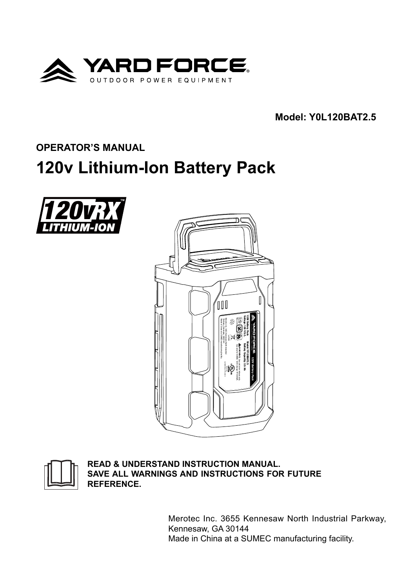

**Model: Y0L120BAT2.5**

# **OPERATOR'S MANUAL**

# **120v Lithium-Ion Battery Pack**







**READ & UNDERSTAND INSTRUCTION MANUAL. SAVE ALL WARNINGS AND INSTRUCTIONS FOR FUTURE REFERENCE.**

> Merotec Inc. 3655 Kennesaw North Industrial Parkway, Kennesaw, GA 30144 Made in China at a SUMEC manufacturing facility.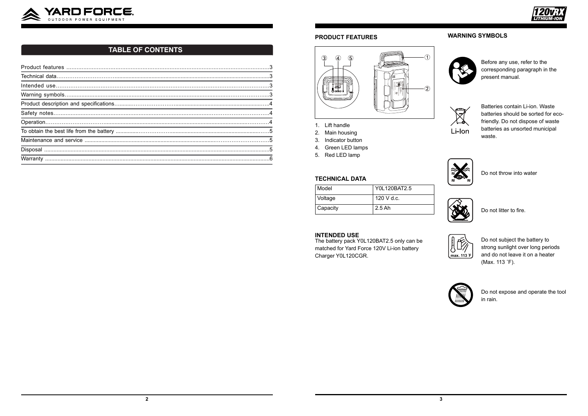

# **TABLE OF CONTENTS**

#### **PRODUCT FEATURES**



- 1. Lift handle
- 2. Main housing
- 3. Indicator button
- 4. Green LED lamps
- 5. Red LED lamp

#### **TECHNICAL DATA**

| Model    | Y0L120BAT2.5 |
|----------|--------------|
| Voltage  | 120 V d.c.   |
| Capacity | $2.5$ Ah     |

#### **INTENDED USE**

The battery pack Y0L120BAT2.5 only can be matched for Yard Force 120V Li-ion battery Charger Y0L120CGR.



# **WARNING SYMBOLS**



Before any use, refer to the corresponding paragraph in the present manual.



Batteries contain Li-ion. Waste batteries should be sorted for ecofriendly. Do not dispose of waste batteries as unsorted municipal waste.



Do not throw into water



Do not litter to fire.



Do not subject the battery to strong sunlight over long periods and do not leave it on a heater (Max. 113 °F).



Do not expose and operate the tool in rain.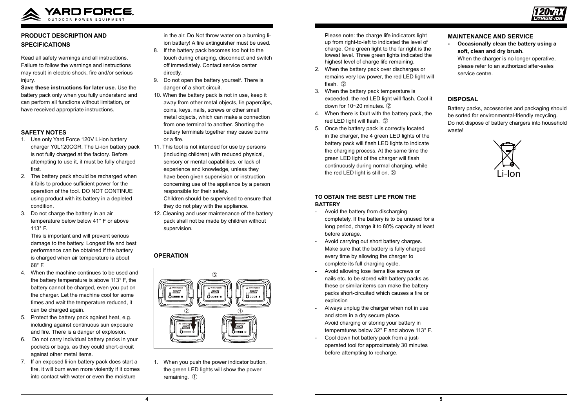

Read all safety warnings and all instructions. Failure to follow the warnings and instructions may result in electric shock, fire and/or serious injury.



# **PRODUCT DESCRIPTION AND SPECIFICATIONS**

**Save these instructions for later use.** Use the battery pack only when you fully understand and can perform all functions without limitation, or have received appropriate instructions.

#### **SAFETY NOTES**

- 1. Use only Yard Force 120V Li-ion battery charger Y0L120CGR. The Li-ion battery pack is not fully charged at the factory. Before attempting to use it, it must be fully charged first.
- 2. The battery pack should be recharged when it fails to produce sufficient power for the operation of the tool. DO NOT CONTINUE using product with its battery in a depleted condition.
- 3. Do not charge the battery in an air temperature below below 41° F or above 113° F.

This is important and will prevent serious damage to the battery. Longest life and best performance can be obtained if the battery is charged when air temperature is about 68° F.

- 4. When the machine continues to be used and the battery temperature is above 113° F, the battery cannot be charged, even you put on the charger. Let the machine cool for some times and wait the temperature reduced, it can be charged again.
- 5. Protect the battery pack against heat, e.g. including against continuous sun exposure and fire. There is a danger of explosion.
- 6. Do not carry individual battery packs in your pockets or bags, as they could short-circuit against other metal items.
- 7. If an exposed li-ion battery pack does start a fire, it will burn even more violently if it comes into contact with water or even the moisture

in the air. Do Not throw water on a burning liion battery! A fire extinguisher must be used.

- 8. If the battery pack becomes too hot to the touch during charging, disconnect and switch off immediately. Contact service center directly.
- 9. Do not open the battery yourself. There is danger of a short circuit.
- 10. When the battery pack is not in use, keep it away from other metal objects, lie paperclips, coins, keys, nails, screws or other small metal objects, which can make a connection from one terminal to another. Shorting the battery terminals together may cause burns or a fire.
- 11. This tool is not intended for use by persons (including children) with reduced physical, sensory or mental capabilities, or lack of experience and knowledge, unless they have been given supervision or instruction concerning use of the appliance by a person responsible for their safety. Children should be supervised to ensure that

they do not play with the appliance.

12. Cleaning and user maintenance of the battery pack shall not be made by children without supervision.

# **OPERATION**



1. When you push the power indicator button, the green LED lights will show the power remaining. ①

Please note: the charge life indicators light up from right-to-left to indicated the level of charge. One green light to the far right is the lowest level. Three green lights indicated the highest level of charge life remaining.

- 2. When the battery pack over discharges or remains very low power, the red LED light will flash. ②
- 3. When the battery pack temperature is exceeded, the red LED light will flash. Cool it down for 10~20 minutes. ②
- 4. When there is fault with the battery pack, the red LED light will flash. ②
- 5. Once the battery pack is correctly located in the charger, the 4 green LED lights of the battery pack will flash LED lights to indicate the charging process. At the same time the green LED light of the charger will flash continuously during normal charging, while the red LED light is still on. ③

#### **TO OBTAIN THE BEST LIFE FROM THE BATTERY**

- Avoid the battery from discharging completely. If the battery is to be unused for a long period, charge it to 80% capacity at least before storage.
- Avoid carrying out short battery charges. Make sure that the battery is fully charged every time by allowing the charger to complete its full charging cycle.
- Avoid allowing lose items like screws or nails etc. to be stored with battery packs as these or similar items can make the battery packs short-circuited which causes a fire or explosion
- Always unplug the charger when not in use and store in a dry secure place. Avoid charging or storing your battery in temperatures below 32° F and above 113° F.
- Cool down hot battery pack from a justoperated tool for approximately 30 minutes before attempting to recharge.

### **MAINTENANCE AND SERVICE**

**- Occasionally clean the battery using a soft, clean and dry brush.** When the charger is no longer operative, please refer to an authorized after-sales

service centre.

# **DISPOSAL**

Battery packs, accessories and packaging should be sorted for environmental-friendly recycling. Do not dispose of battery chargers into household waste!